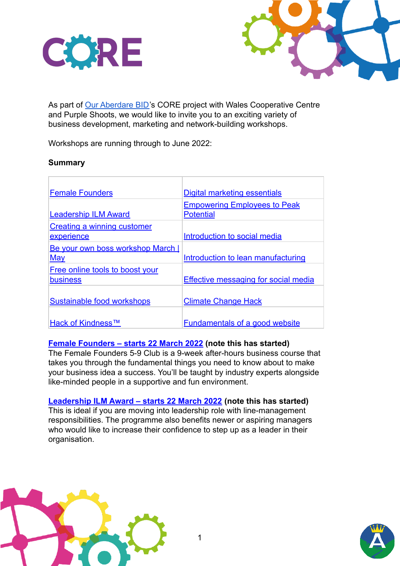



As part of [Our Aberdare BID'](https://mailchi.mp/6a22572685d2/our-aberdare-bid-core-press-release-14177447)s CORE project with Wales Cooperative Centre and Purple Shoots, we would like to invite you to an exciting variety of business development, marketing and network-building workshops.

Workshops are running through to June 2022:

### **Summary**

| <b>Female Founders</b>             | Digital marketing essentials         |
|------------------------------------|--------------------------------------|
|                                    | <b>Empowering Employees to Peak</b>  |
| <b>Leadership ILM Award</b>        | <b>Potential</b>                     |
| <b>Creating a winning customer</b> |                                      |
| experience                         | Introduction to social media         |
| Be your own boss workshop March    |                                      |
| May                                | Introduction to lean manufacturing   |
| Free online tools to boost your    |                                      |
| <b>business</b>                    | Effective messaging for social media |
|                                    |                                      |
| Sustainable food workshops         | <b>Climate Change Hack</b>           |
|                                    |                                      |
| Hack of Kindness™                  | Fundamentals of a good website       |

# **[Female Founders – starts 22 March 2022](https://www.ice.community/female-founders-5-9-club/) (note this has started)**

The Female Founders 5-9 Club is a 9-week after-hours business course that takes you through the fundamental things you need to know about to make your business idea a success. You'll be taught by industry experts alongside like-minded people in a supportive and fun environment.

**[Leadership ILM Award – starts 22 March 2022](https://www.eventbrite.co.uk/e/sea-ilm-leadership-award-tickets-256933052677) (note this has started)** This is ideal if you are moving into leadership role with line-management responsibilities. The programme also benefits newer or aspiring managers who would like to increase their confidence to step up as a leader in their organisation.



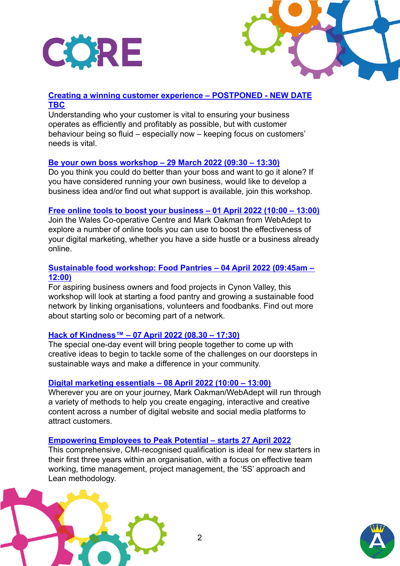



# **[Creating a winning customer experience – POSTPONED - NEW DATE](https://www.eventbrite.co.uk/e/creating-a-winning-customer-experience-tickets-293828548097) [TBC](https://www.eventbrite.co.uk/e/creating-a-winning-customer-experience-tickets-293828548097)**

Understanding who your customer is vital to ensuring your business operates as efficiently and profitably as possible, but with customer behaviour being so fluid – especially now – keeping focus on customers' needs is vital.

### **[Be your own boss workshop – 29 March 2022 \(09:30 – 13:30\)](https://www.eventbrite.co.uk/e/be-your-own-boss-workshop-gweithdy-bod-yn-fos-arnoch-chich-hun-tickets-277500530557)**

Do you think you could do better than your boss and want to go it alone? If you have considered running your own business, would like to develop a business idea and/or find out what support is available, join this workshop.

## **[Free online tools to boost your business – 01 April 2022 \(10:00 – 13:00\)](https://www.eventbrite.co.uk/e/free-online-tools-to-boost-your-business-tickets-276849703917)**

Join the Wales Co-operative Centre and Mark Oakman from WebAdept to explore a number of online tools you can use to boost the effectiveness of your digital marketing, whether you have a side hustle or a business already online.

## **[Sustainable food workshop: Food Pantries – 04 April 2022 \(09:45am –](https://www.eventbrite.co.uk/e/local-and-sustainable-food-workshops-gweithdai-bwyd-lleol-a-chynaliadwy-tickets-287943977187) [12:00\)](https://www.eventbrite.co.uk/e/local-and-sustainable-food-workshops-gweithdai-bwyd-lleol-a-chynaliadwy-tickets-287943977187)**

For aspiring business owners and food projects in Cynon Valley, this workshop will look at starting a food pantry and growing a sustainable food network by linking organisations, volunteers and foodbanks. Find out more about starting solo or becoming part of a network.

### **[Hack of Kindness™ – 07 April 2022 \(08.30 – 17:30\)](https://www.eventbrite.co.uk/e/rhondda-cynon-taf-hack-of-kindnesstm-tickets-260203444507)**

The special one-day event will bring people together to come up with creative ideas to begin to tackle some of the challenges on our doorsteps in sustainable ways and make a difference in your community.

### **[Digital marketing essentials – 08 April 2022 \(10:00 – 13:00\)](https://www.eventbrite.co.uk/e/digital-marketing-essentials-tickets-298031549387)**

Wherever you are on your journey, Mark Oakman/WebAdept will run through a variety of methods to help you create engaging, interactive and creative content across a number of digital website and social media platforms to attract customers.

### **[Empowering Employees to Peak Potential – starts 27 April 2022](https://www.eventbrite.co.uk/e/empowering-employees-to-peak-potential-e22p2-tickets-257036040717)**

This comprehensive, CMI-recognised qualification is ideal for new starters in their first three years within an organisation, with a focus on effective team working, time management, project management, the '5S' approach and Lean methodology.